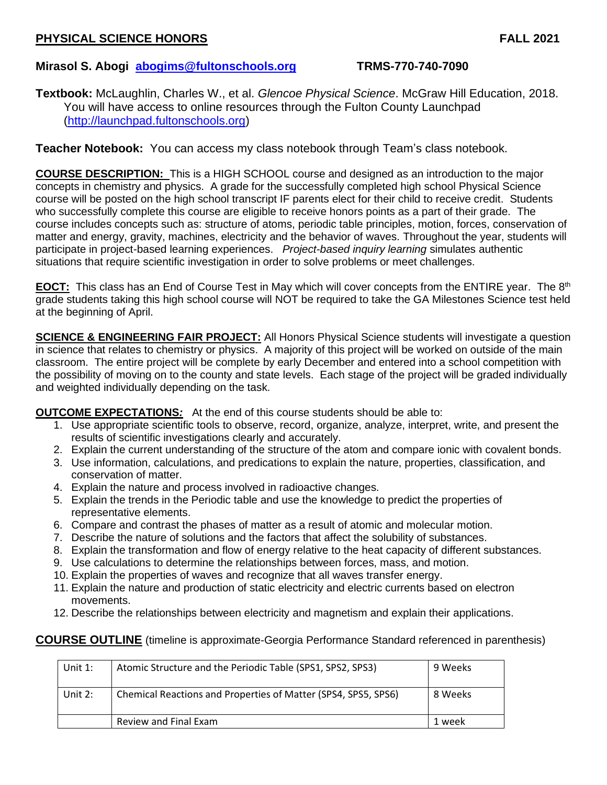# **PHYSICAL SCIENCE HONORS FALL 2021**

# **Mirasol S. Abogi [abogims@fultonschools.org](mailto:abogims@fultonschools.org) TRMS-770-740-7090**

**Textbook:** McLaughlin, Charles W., et al. *Glencoe Physical Science*. McGraw Hill Education, 2018. You will have access to online resources through the Fulton County Launchpad [\(http://launchpad.fultonschools.org\)](https://na01.safelinks.protection.outlook.com/?url=http%3A%2F%2Flaunchpad.fultonschools.org&data=02%7C01%7C%7Ca872b55fa7db4f73bdf208d5f738da9b%7C0cdcb19881694b70ba9fda7e3ba700c2%7C1%7C0%7C636686745932729845&sdata=7YvklOdNRT606SzRzZn9V%2FsNXdX55wdHd%2FzvLS%2B3Rm0%3D&reserved=0)

**Teacher Notebook:** You can access my class notebook through Team's class notebook.

**COURSE DESCRIPTION:** This is a HIGH SCHOOL course and designed as an introduction to the major concepts in chemistry and physics. A grade for the successfully completed high school Physical Science course will be posted on the high school transcript IF parents elect for their child to receive credit. Students who successfully complete this course are eligible to receive honors points as a part of their grade. The course includes concepts such as: structure of atoms, periodic table principles, motion, forces, conservation of matter and energy, gravity, machines, electricity and the behavior of waves. Throughout the year, students will participate in project-based learning experiences. *Project-based inquiry learning* simulates authentic situations that require scientific investigation in order to solve problems or meet challenges.

**EOCT:** This class has an End of Course Test in May which will cover concepts from the ENTIRE year. The 8th grade students taking this high school course will NOT be required to take the GA Milestones Science test held at the beginning of April.

**SCIENCE & ENGINEERING FAIR PROJECT:** All Honors Physical Science students will investigate a question in science that relates to chemistry or physics. A majority of this project will be worked on outside of the main classroom. The entire project will be complete by early December and entered into a school competition with the possibility of moving on to the county and state levels. Each stage of the project will be graded individually and weighted individually depending on the task.

**OUTCOME EXPECTATIONS***:* At the end of this course students should be able to:

- 1. Use appropriate scientific tools to observe, record, organize, analyze, interpret, write, and present the results of scientific investigations clearly and accurately.
- 2. Explain the current understanding of the structure of the atom and compare ionic with covalent bonds.
- 3. Use information, calculations, and predications to explain the nature, properties, classification, and conservation of matter.
- 4. Explain the nature and process involved in radioactive changes.
- 5. Explain the trends in the Periodic table and use the knowledge to predict the properties of representative elements.
- 6. Compare and contrast the phases of matter as a result of atomic and molecular motion.
- 7. Describe the nature of solutions and the factors that affect the solubility of substances.
- 8. Explain the transformation and flow of energy relative to the heat capacity of different substances.
- 9. Use calculations to determine the relationships between forces, mass, and motion.
- 10. Explain the properties of waves and recognize that all waves transfer energy.
- 11. Explain the nature and production of static electricity and electric currents based on electron movements.
- 12. Describe the relationships between electricity and magnetism and explain their applications.

#### **COURSE OUTLINE** (timeline is approximate-Georgia Performance Standard referenced in parenthesis)

| Unit $1$ : | Atomic Structure and the Periodic Table (SPS1, SPS2, SPS3)     | 9 Weeks |
|------------|----------------------------------------------------------------|---------|
| Unit 2:    | Chemical Reactions and Properties of Matter (SPS4, SPS5, SPS6) | 8 Weeks |
|            | Review and Final Exam                                          | 1 week  |